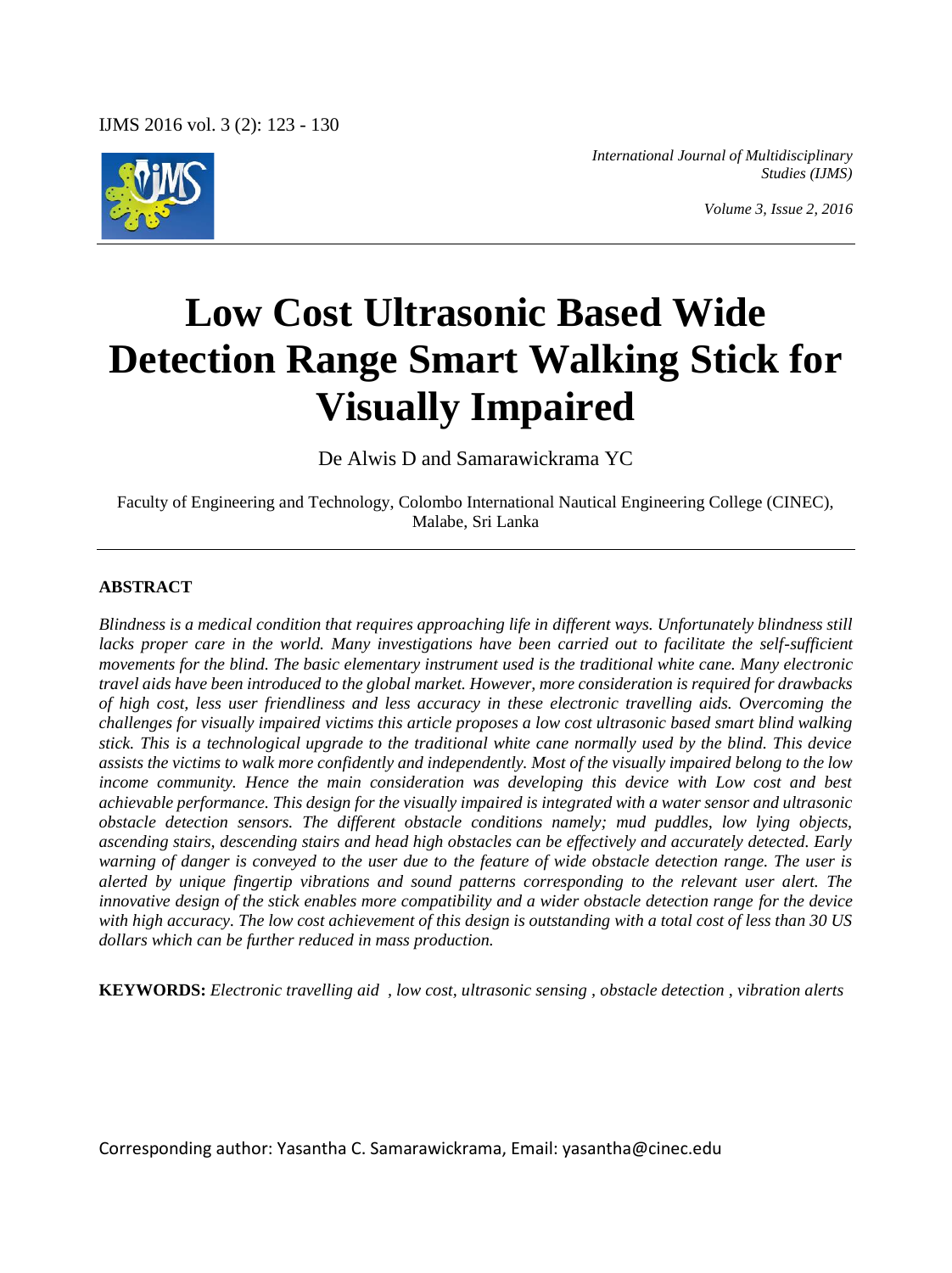

*International Journal of Multidisciplinary Studies (IJMS)*

*Volume 3, Issue 2, 2016*

# **Low Cost Ultrasonic Based Wide Detection Range Smart Walking Stick for Visually Impaired**

De Alwis D and Samarawickrama YC

Faculty of Engineering and Technology, Colombo International Nautical Engineering College (CINEC), Malabe, Sri Lanka

#### **ABSTRACT**

*Blindness is a medical condition that requires approaching life in different ways. Unfortunately blindness still lacks proper care in the world. Many investigations have been carried out to facilitate the self-sufficient movements for the blind. The basic elementary instrument used is the traditional white cane. Many electronic travel aids have been introduced to the global market. However, more consideration is required for drawbacks of high cost, less user friendliness and less accuracy in these electronic travelling aids. Overcoming the challenges for visually impaired victims this article proposes a low cost ultrasonic based smart blind walking stick. This is a technological upgrade to the traditional white cane normally used by the blind. This device assists the victims to walk more confidently and independently. Most of the visually impaired belong to the low income community. Hence the main consideration was developing this device with Low cost and best achievable performance. This design for the visually impaired is integrated with a water sensor and ultrasonic obstacle detection sensors. The different obstacle conditions namely; mud puddles, low lying objects, ascending stairs, descending stairs and head high obstacles can be effectively and accurately detected. Early warning of danger is conveyed to the user due to the feature of wide obstacle detection range. The user is alerted by unique fingertip vibrations and sound patterns corresponding to the relevant user alert. The innovative design of the stick enables more compatibility and a wider obstacle detection range for the device with high accuracy. The low cost achievement of this design is outstanding with a total cost of less than 30 US dollars which can be further reduced in mass production.*

**KEYWORDS:** *Electronic travelling aid , low cost, ultrasonic sensing , obstacle detection , vibration alerts*

Corresponding author: Yasantha C. Samarawickrama, Email: yasantha@cinec.edu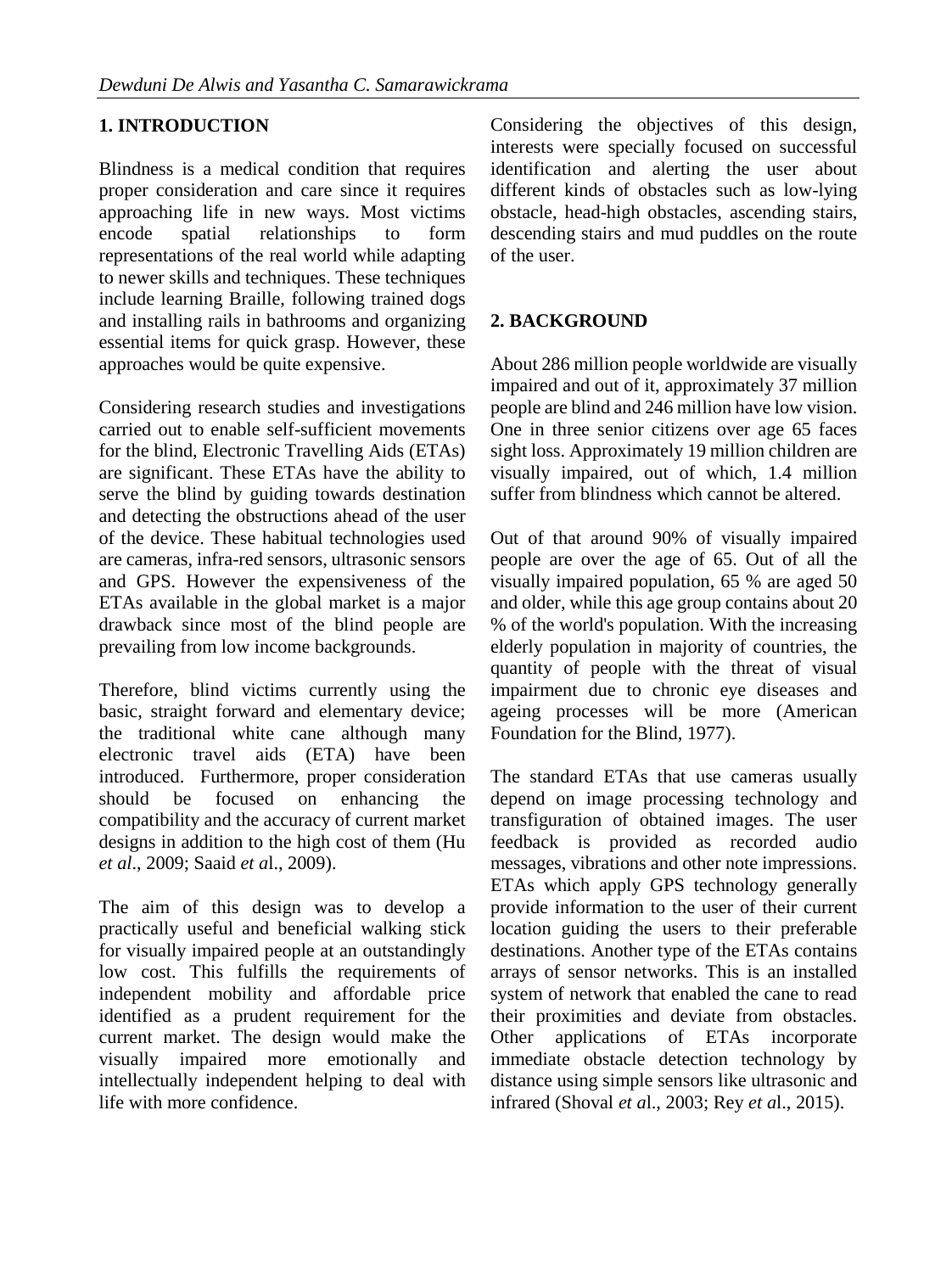# **1. INTRODUCTION**

Blindness is a medical condition that requires proper consideration and care since it requires approaching life in new ways. Most victims encode spatial relationships to form representations of the real world while adapting to newer skills and techniques. These techniques include learning Braille, following trained dogs and installing rails in bathrooms and organizing essential items for quick grasp. However, these approaches would be quite expensive.

Considering research studies and investigations carried out to enable self-sufficient movements for the blind, Electronic Travelling Aids (ETAs) are significant. These ETAs have the ability to serve the blind by guiding towards destination and detecting the obstructions ahead of the user of the device. These habitual technologies used are cameras, infra-red sensors, ultrasonic sensors and GPS. However the expensiveness of the ETAs available in the global market is a major drawback since most of the blind people are prevailing from low income backgrounds.

Therefore, blind victims currently using the basic, straight forward and elementary device; the traditional white cane although many electronic travel aids (ETA) have been introduced. Furthermore, proper consideration should be focused on enhancing the compatibility and the accuracy of current market designs in addition to the high cost of them (Hu *et al*., 2009; Saaid *et a*l., 2009).

The aim of this design was to develop a practically useful and beneficial walking stick for visually impaired people at an outstandingly low cost. This fulfills the requirements of independent mobility and affordable price identified as a prudent requirement for the current market. The design would make the visually impaired more emotionally and intellectually independent helping to deal with life with more confidence.

Considering the objectives of this design, interests were specially focused on successful identification and alerting the user about different kinds of obstacles such as low-lying obstacle, head-high obstacles, ascending stairs, descending stairs and mud puddles on the route of the user.

# **2. BACKGROUND**

About 286 million people worldwide are visually impaired and out of it, approximately 37 million people are blind and 246 million have low vision. One in three senior citizens over age 65 faces sight loss. Approximately 19 million children are visually impaired, out of which, 1.4 million suffer from blindness which cannot be altered.

Out of that around 90% of visually impaired people are over the age of 65. Out of all the visually impaired population, 65 % are aged 50 and older, while this age group contains about 20 % of the world's population. With the increasing elderly population in majority of countries, the quantity of people with the threat of visual impairment due to chronic eye diseases and ageing processes will be more (American Foundation for the Blind, 1977).

The standard ETAs that use cameras usually depend on image processing technology and transfiguration of obtained images. The user feedback is provided as recorded audio messages, vibrations and other note impressions. ETAs which apply GPS technology generally provide information to the user of their current location guiding the users to their preferable destinations. Another type of the ETAs contains arrays of sensor networks. This is an installed system of network that enabled the cane to read their proximities and deviate from obstacles. Other applications of ETAs incorporate immediate obstacle detection technology by distance using simple sensors like ultrasonic and infrared (Shoval *et a*l., 2003; Rey *et a*l., 2015).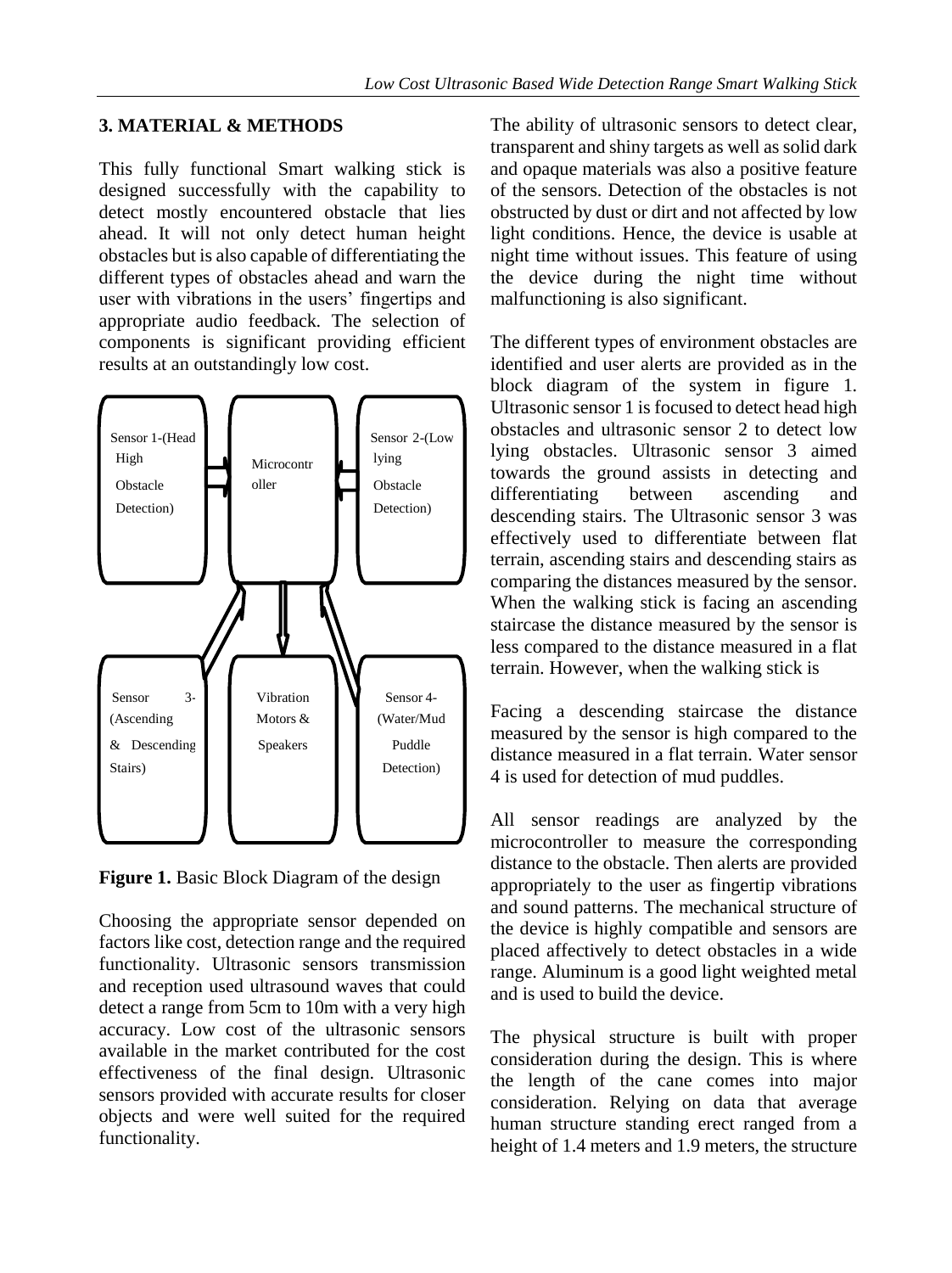## **3. MATERIAL & METHODS**

This fully functional Smart walking stick is designed successfully with the capability to detect mostly encountered obstacle that lies ahead. It will not only detect human height obstacles but is also capable of differentiating the different types of obstacles ahead and warn the user with vibrations in the users' fingertips and appropriate audio feedback. The selection of components is significant providing efficient results at an outstandingly low cost.



**Figure 1.** Basic Block Diagram of the design

Choosing the appropriate sensor depended on factors like cost, detection range and the required functionality. Ultrasonic sensors transmission and reception used ultrasound waves that could detect a range from 5cm to 10m with a very high accuracy. Low cost of the ultrasonic sensors available in the market contributed for the cost effectiveness of the final design. Ultrasonic sensors provided with accurate results for closer objects and were well suited for the required functionality.

The ability of ultrasonic sensors to detect clear, transparent and shiny targets as well as solid dark and opaque materials was also a positive feature of the sensors. Detection of the obstacles is not obstructed by dust or dirt and not affected by low light conditions. Hence, the device is usable at night time without issues. This feature of using the device during the night time without malfunctioning is also significant.

The different types of environment obstacles are identified and user alerts are provided as in the block diagram of the system in figure 1. Ultrasonic sensor 1 is focused to detect head high obstacles and ultrasonic sensor 2 to detect low lying obstacles. Ultrasonic sensor 3 aimed towards the ground assists in detecting and differentiating between ascending and descending stairs. The Ultrasonic sensor 3 was effectively used to differentiate between flat terrain, ascending stairs and descending stairs as comparing the distances measured by the sensor. When the walking stick is facing an ascending staircase the distance measured by the sensor is less compared to the distance measured in a flat terrain. However, when the walking stick is

Facing a descending staircase the distance measured by the sensor is high compared to the distance measured in a flat terrain. Water sensor 4 is used for detection of mud puddles.

All sensor readings are analyzed by the microcontroller to measure the corresponding distance to the obstacle. Then alerts are provided appropriately to the user as fingertip vibrations and sound patterns. The mechanical structure of the device is highly compatible and sensors are placed affectively to detect obstacles in a wide range. Aluminum is a good light weighted metal and is used to build the device.

The physical structure is built with proper consideration during the design. This is where the length of the cane comes into major consideration. Relying on data that average human structure standing erect ranged from a height of 1.4 meters and 1.9 meters, the structure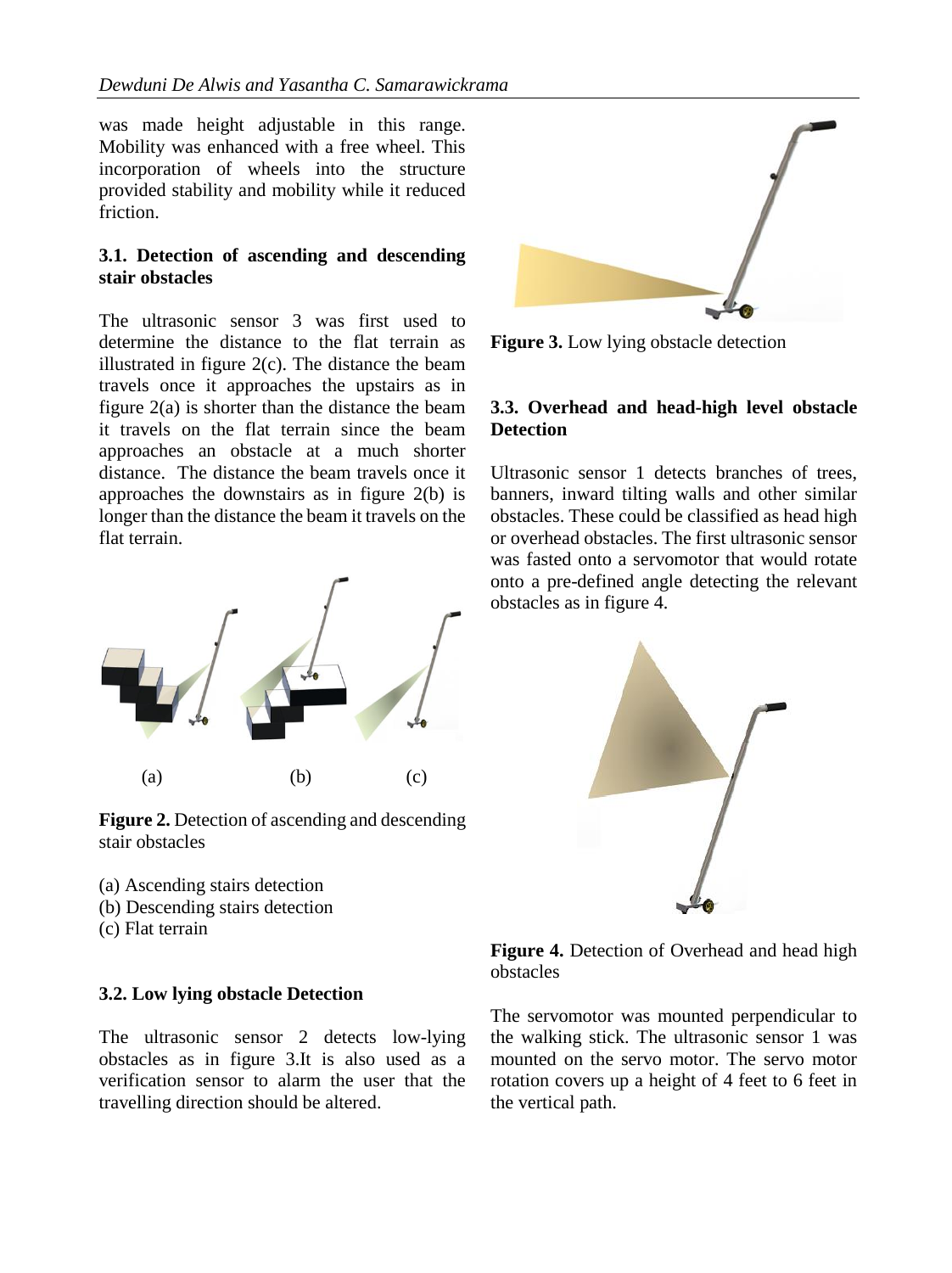was made height adjustable in this range. Mobility was enhanced with a free wheel. This incorporation of wheels into the structure provided stability and mobility while it reduced friction.

## **3.1. Detection of ascending and descending stair obstacles**

The ultrasonic sensor 3 was first used to determine the distance to the flat terrain as illustrated in figure 2(c). The distance the beam travels once it approaches the upstairs as in figure 2(a) is shorter than the distance the beam it travels on the flat terrain since the beam approaches an obstacle at a much shorter distance. The distance the beam travels once it approaches the downstairs as in figure 2(b) is longer than the distance the beam it travels on the flat terrain.



**Figure 2.** Detection of ascending and descending stair obstacles

(a) Ascending stairs detection (b) Descending stairs detection (c) Flat terrain

#### **3.2. Low lying obstacle Detection**

The ultrasonic sensor 2 detects low-lying obstacles as in figure 3.It is also used as a verification sensor to alarm the user that the travelling direction should be altered.



**Figure 3.** Low lying obstacle detection

#### **3.3. Overhead and head-high level obstacle Detection**

Ultrasonic sensor 1 detects branches of trees, banners, inward tilting walls and other similar obstacles. These could be classified as head high or overhead obstacles. The first ultrasonic sensor was fasted onto a servomotor that would rotate onto a pre-defined angle detecting the relevant obstacles as in figure 4.



**Figure 4.** Detection of Overhead and head high obstacles

The servomotor was mounted perpendicular to the walking stick. The ultrasonic sensor 1 was mounted on the servo motor. The servo motor rotation covers up a height of 4 feet to 6 feet in the vertical path.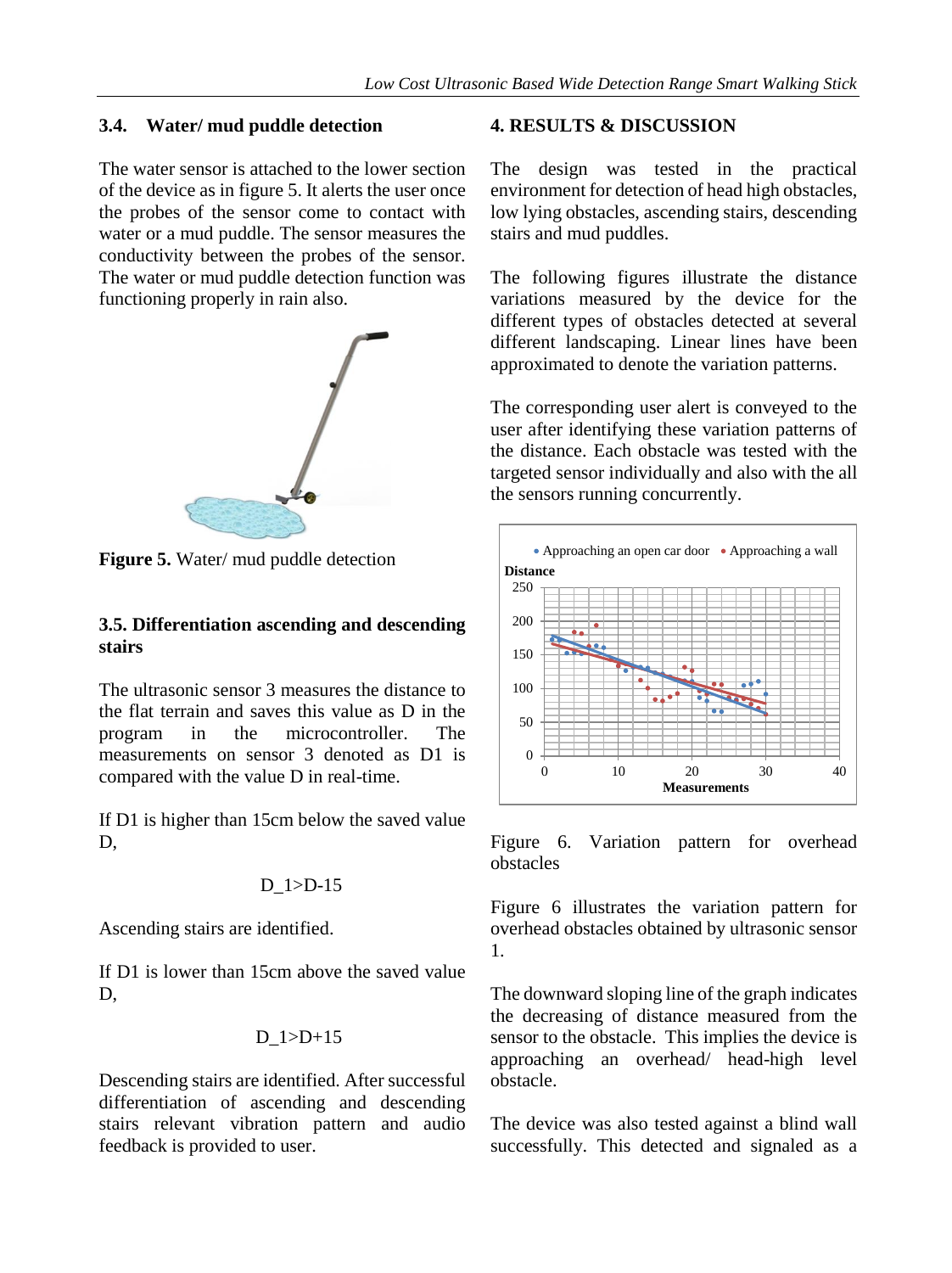#### **3.4. Water/ mud puddle detection**

The water sensor is attached to the lower section of the device as in figure 5. It alerts the user once the probes of the sensor come to contact with water or a mud puddle. The sensor measures the conductivity between the probes of the sensor. The water or mud puddle detection function was functioning properly in rain also.



**Figure 5.** Water/ mud puddle detection

## **3.5. Differentiation ascending and descending stairs**

The ultrasonic sensor 3 measures the distance to the flat terrain and saves this value as D in the program in the microcontroller. The measurements on sensor 3 denoted as D1 is compared with the value D in real-time.

If D1 is higher than 15cm below the saved value D,

# D\_1>D-15

Ascending stairs are identified.

If D1 is lower than 15cm above the saved value D,

#### D\_1>D+15

Descending stairs are identified. After successful differentiation of ascending and descending stairs relevant vibration pattern and audio feedback is provided to user.

#### **4. RESULTS & DISCUSSION**

The design was tested in the practical environment for detection of head high obstacles, low lying obstacles, ascending stairs, descending stairs and mud puddles.

The following figures illustrate the distance variations measured by the device for the different types of obstacles detected at several different landscaping. Linear lines have been approximated to denote the variation patterns.

The corresponding user alert is conveyed to the user after identifying these variation patterns of the distance. Each obstacle was tested with the targeted sensor individually and also with the all the sensors running concurrently.



Figure 6. Variation pattern for overhead obstacles

Figure 6 illustrates the variation pattern for overhead obstacles obtained by ultrasonic sensor 1.

The downward sloping line of the graph indicates the decreasing of distance measured from the sensor to the obstacle. This implies the device is approaching an overhead/ head-high level obstacle.

The device was also tested against a blind wall successfully. This detected and signaled as a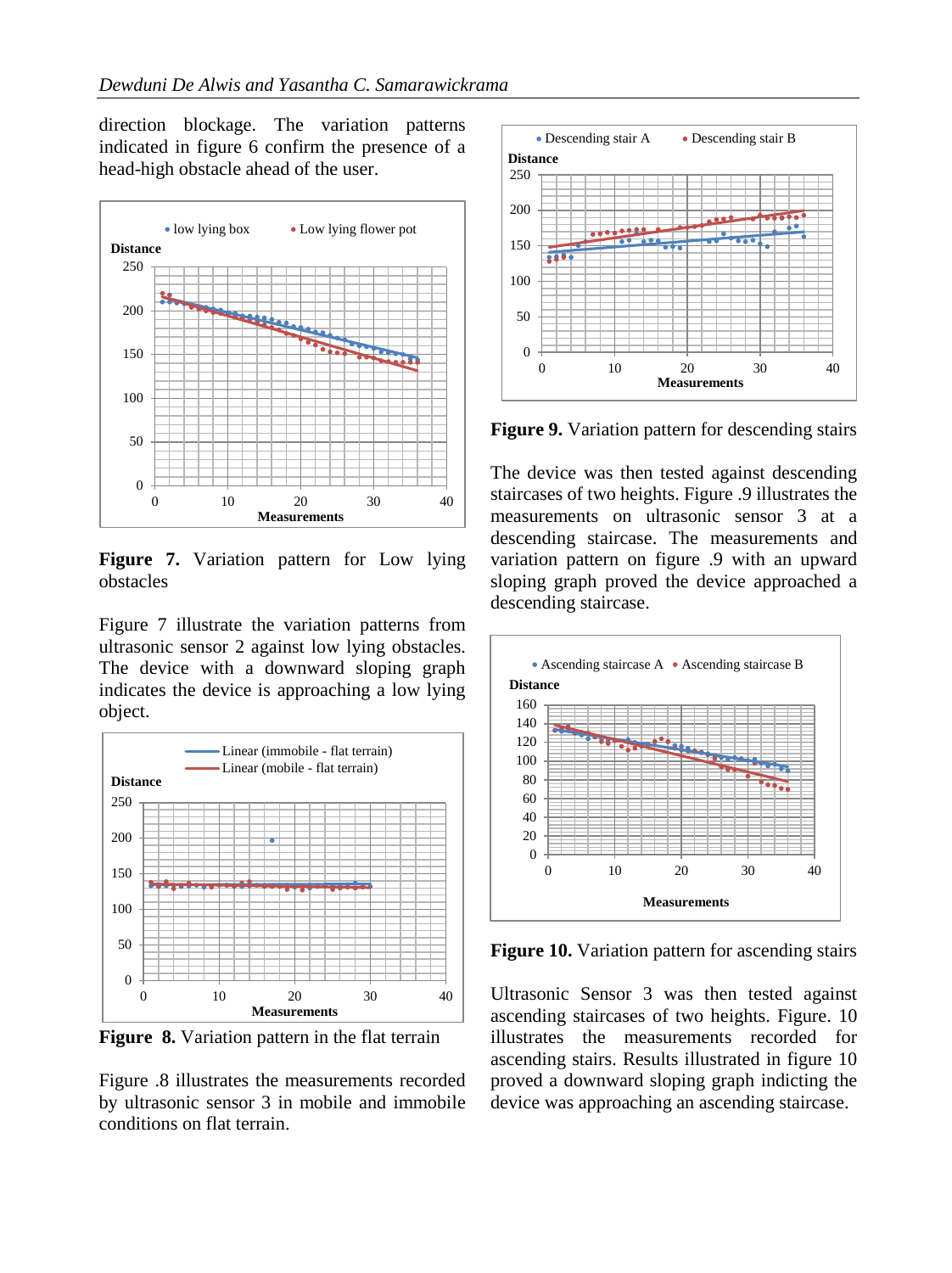direction blockage. The variation patterns indicated in figure 6 confirm the presence of a head-high obstacle ahead of the user.



**Figure 7.** Variation pattern for Low lying obstacles

Figure 7 illustrate the variation patterns from ultrasonic sensor 2 against low lying obstacles. The device with a downward sloping graph indicates the device is approaching a low lying object.



**Figure 8.** Variation pattern in the flat terrain

Figure .8 illustrates the measurements recorded by ultrasonic sensor 3 in mobile and immobile conditions on flat terrain.



**Figure 9.** Variation pattern for descending stairs

The device was then tested against descending staircases of two heights. Figure .9 illustrates the measurements on ultrasonic sensor 3 at a descending staircase. The measurements and variation pattern on figure .9 with an upward sloping graph proved the device approached a descending staircase.



**Figure 10.** Variation pattern for ascending stairs

Ultrasonic Sensor 3 was then tested against ascending staircases of two heights. Figure. 10 illustrates the measurements recorded for ascending stairs. Results illustrated in figure 10 proved a downward sloping graph indicting the device was approaching an ascending staircase.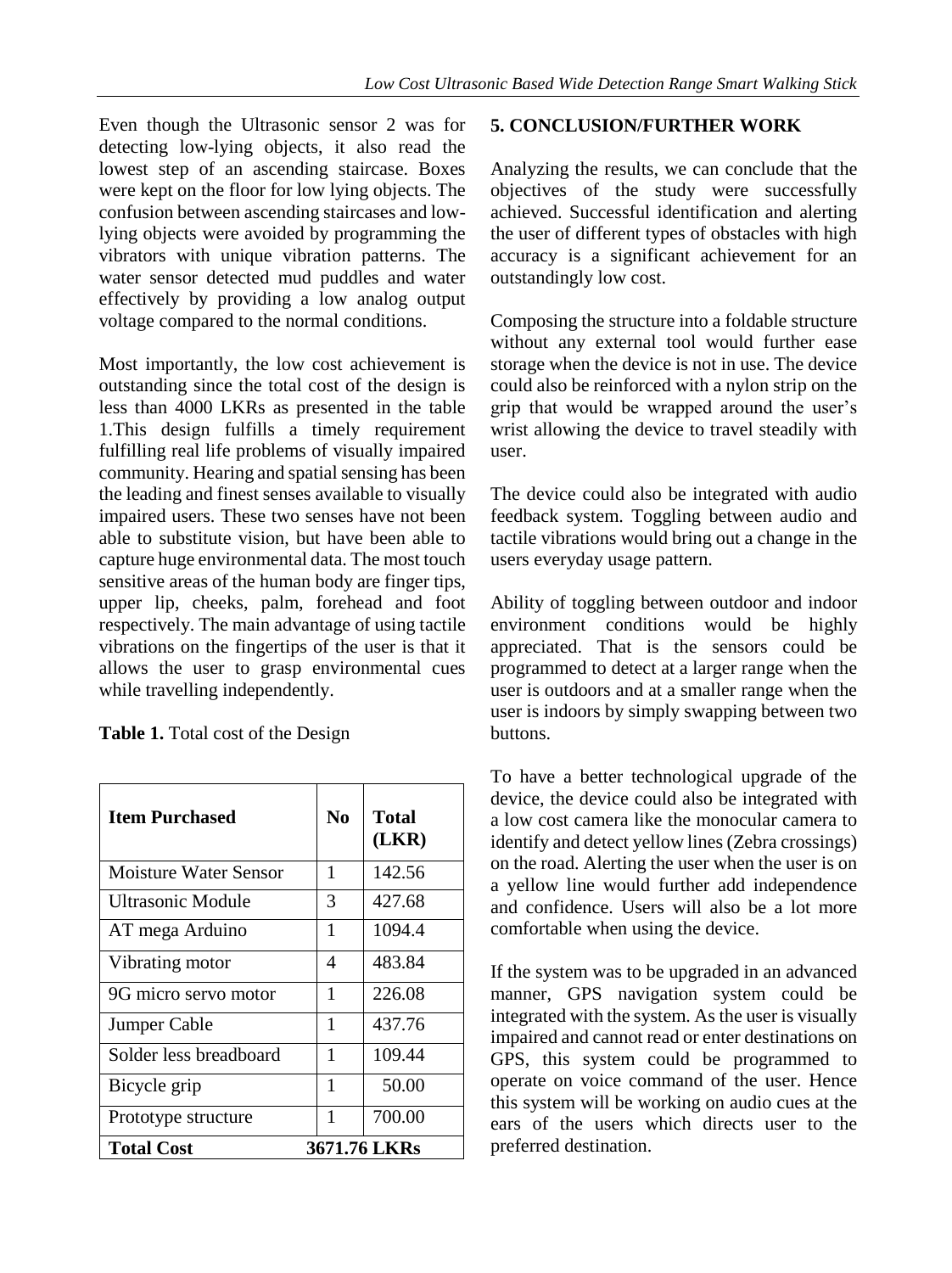Even though the Ultrasonic sensor 2 was for detecting low-lying objects, it also read the lowest step of an ascending staircase. Boxes were kept on the floor for low lying objects. The confusion between ascending staircases and lowlying objects were avoided by programming the vibrators with unique vibration patterns. The water sensor detected mud puddles and water effectively by providing a low analog output voltage compared to the normal conditions.

Most importantly, the low cost achievement is outstanding since the total cost of the design is less than 4000 LKRs as presented in the table 1.This design fulfills a timely requirement fulfilling real life problems of visually impaired community. Hearing and spatial sensing has been the leading and finest senses available to visually impaired users. These two senses have not been able to substitute vision, but have been able to capture huge environmental data. The most touch sensitive areas of the human body are finger tips, upper lip, cheeks, palm, forehead and foot respectively. The main advantage of using tactile vibrations on the fingertips of the user is that it allows the user to grasp environmental cues while travelling independently.

| <b>Table 1.</b> Total cost of the Design |
|------------------------------------------|
|------------------------------------------|

| <b>Item Purchased</b>        | N <sub>0</sub> | <b>Total</b><br>(LKR) |  |
|------------------------------|----------------|-----------------------|--|
| <b>Moisture Water Sensor</b> | 1              | 142.56                |  |
| Ultrasonic Module            | 3              | 427.68                |  |
| AT mega Arduino              | 1              | 1094.4                |  |
| Vibrating motor              | 4              | 483.84                |  |
| 9G micro servo motor         | 1              | 226.08                |  |
| Jumper Cable                 | 1              | 437.76                |  |
| Solder less breadboard       | 1              | 109.44                |  |
| Bicycle grip                 | 1              | 50.00                 |  |
| Prototype structure          | 1              | 700.00                |  |
| <b>Total Cost</b>            | 3671.76 LKRs   |                       |  |

#### **5. CONCLUSION/FURTHER WORK**

Analyzing the results, we can conclude that the objectives of the study were successfully achieved. Successful identification and alerting the user of different types of obstacles with high accuracy is a significant achievement for an outstandingly low cost.

Composing the structure into a foldable structure without any external tool would further ease storage when the device is not in use. The device could also be reinforced with a nylon strip on the grip that would be wrapped around the user's wrist allowing the device to travel steadily with user.

The device could also be integrated with audio feedback system. Toggling between audio and tactile vibrations would bring out a change in the users everyday usage pattern.

Ability of toggling between outdoor and indoor environment conditions would be highly appreciated. That is the sensors could be programmed to detect at a larger range when the user is outdoors and at a smaller range when the user is indoors by simply swapping between two buttons.

To have a better technological upgrade of the device, the device could also be integrated with a low cost camera like the monocular camera to identify and detect yellow lines (Zebra crossings) on the road. Alerting the user when the user is on a yellow line would further add independence and confidence. Users will also be a lot more comfortable when using the device.

If the system was to be upgraded in an advanced manner, GPS navigation system could be integrated with the system. As the user is visually impaired and cannot read or enter destinations on GPS, this system could be programmed to operate on voice command of the user. Hence this system will be working on audio cues at the ears of the users which directs user to the preferred destination.